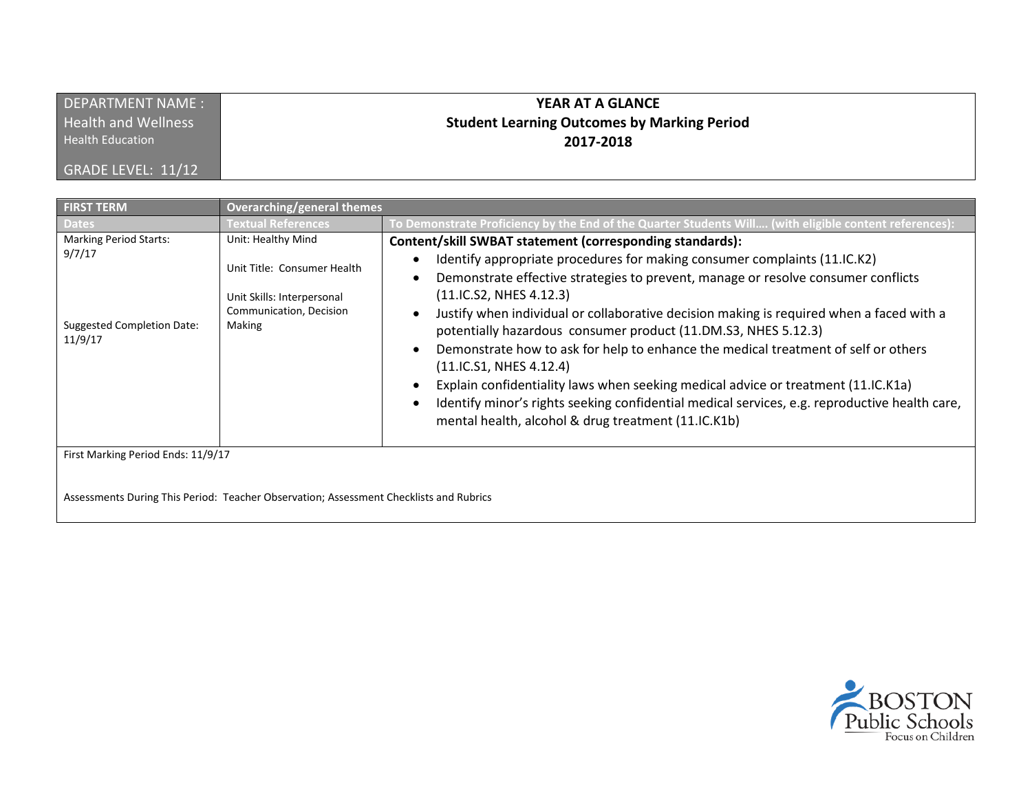| <b>DEPARTMENT NAME:</b>    | YEAR AT A GLANCE                                   |
|----------------------------|----------------------------------------------------|
| <b>Health and Wellness</b> | <b>Student Learning Outcomes by Marking Period</b> |
| <b>Health Education</b>    | 2017-2018                                          |
| GRADE LEVEL: 11/12         |                                                    |

| <b>FIRST TERM</b>                                                                       | <b>Overarching/general themes</b>                                                                                    |                                                                                                                                                                                                                                                                                                                                                                                                                                                                                                                                                                                                                                                                                                                                                                                   |
|-----------------------------------------------------------------------------------------|----------------------------------------------------------------------------------------------------------------------|-----------------------------------------------------------------------------------------------------------------------------------------------------------------------------------------------------------------------------------------------------------------------------------------------------------------------------------------------------------------------------------------------------------------------------------------------------------------------------------------------------------------------------------------------------------------------------------------------------------------------------------------------------------------------------------------------------------------------------------------------------------------------------------|
| <b>Dates</b>                                                                            | <b>Fextual References</b>                                                                                            | To Demonstrate Proficiency by the End of the Quarter Students Will (with eligible content references):                                                                                                                                                                                                                                                                                                                                                                                                                                                                                                                                                                                                                                                                            |
| <b>Marking Period Starts:</b><br>9/7/17<br><b>Suggested Completion Date:</b><br>11/9/17 | Unit: Healthy Mind<br>Unit Title: Consumer Health<br>Unit Skills: Interpersonal<br>Communication, Decision<br>Making | Content/skill SWBAT statement (corresponding standards):<br>Identify appropriate procedures for making consumer complaints (11.IC.K2)<br>Demonstrate effective strategies to prevent, manage or resolve consumer conflicts<br>(11.1C.S2, NHES 4.12.3)<br>Justify when individual or collaborative decision making is required when a faced with a<br>potentially hazardous consumer product (11.DM.S3, NHES 5.12.3)<br>Demonstrate how to ask for help to enhance the medical treatment of self or others<br>(11.1C.S1, NHES 4.12.4)<br>Explain confidentiality laws when seeking medical advice or treatment (11.IC.K1a)<br>Identify minor's rights seeking confidential medical services, e.g. reproductive health care,<br>mental health, alcohol & drug treatment (11.IC.K1b) |
| First Marking Period Ends: 11/9/17                                                      |                                                                                                                      |                                                                                                                                                                                                                                                                                                                                                                                                                                                                                                                                                                                                                                                                                                                                                                                   |

Assessments During This Period: Teacher Observation; Assessment Checklists and Rubrics

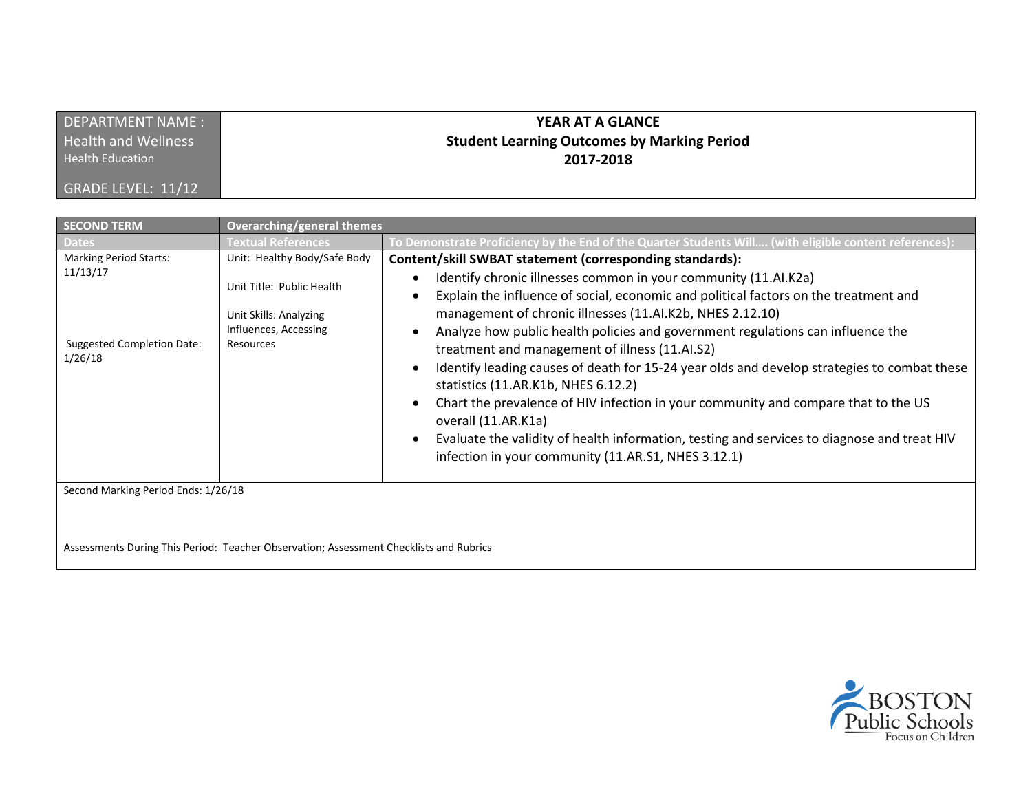| DEPARTMENT NAME:           | YEAR AT A GLANCE                                   |
|----------------------------|----------------------------------------------------|
| <b>Health and Wellness</b> | <b>Student Learning Outcomes by Marking Period</b> |
| <b>Health Education</b>    | 2017-2018                                          |
| GRADE LEVEL: 11/12         |                                                    |

| <b>SECOND TERM</b>                                                                                                               | Overarching/general themes                                                                                                |                                                                                                                                                                                                                                                                                                                                                                                                                                                                                                                                                                                                                                                                                                                                                                                                                                |
|----------------------------------------------------------------------------------------------------------------------------------|---------------------------------------------------------------------------------------------------------------------------|--------------------------------------------------------------------------------------------------------------------------------------------------------------------------------------------------------------------------------------------------------------------------------------------------------------------------------------------------------------------------------------------------------------------------------------------------------------------------------------------------------------------------------------------------------------------------------------------------------------------------------------------------------------------------------------------------------------------------------------------------------------------------------------------------------------------------------|
| Dates                                                                                                                            | Textual References                                                                                                        | To Demonstrate Proficiency by the End of the Quarter Students Will (with eligible content references)                                                                                                                                                                                                                                                                                                                                                                                                                                                                                                                                                                                                                                                                                                                          |
| <b>Marking Period Starts:</b><br>11/13/17<br><b>Suggested Completion Date:</b><br>1/26/18<br>Second Marking Period Ends: 1/26/18 | Unit: Healthy Body/Safe Body<br>Unit Title: Public Health<br>Unit Skills: Analyzing<br>Influences, Accessing<br>Resources | Content/skill SWBAT statement (corresponding standards):<br>Identify chronic illnesses common in your community (11.AI.K2a)<br>Explain the influence of social, economic and political factors on the treatment and<br>management of chronic illnesses (11.Al.K2b, NHES 2.12.10)<br>Analyze how public health policies and government regulations can influence the<br>treatment and management of illness (11.AI.S2)<br>Identify leading causes of death for 15-24 year olds and develop strategies to combat these<br>statistics (11.AR.K1b, NHES 6.12.2)<br>Chart the prevalence of HIV infection in your community and compare that to the US<br>overall (11.AR.K1a)<br>Evaluate the validity of health information, testing and services to diagnose and treat HIV<br>infection in your community (11.AR.S1, NHES 3.12.1) |
|                                                                                                                                  |                                                                                                                           |                                                                                                                                                                                                                                                                                                                                                                                                                                                                                                                                                                                                                                                                                                                                                                                                                                |

Assessments During This Period: Teacher Observation; Assessment Checklists and Rubrics

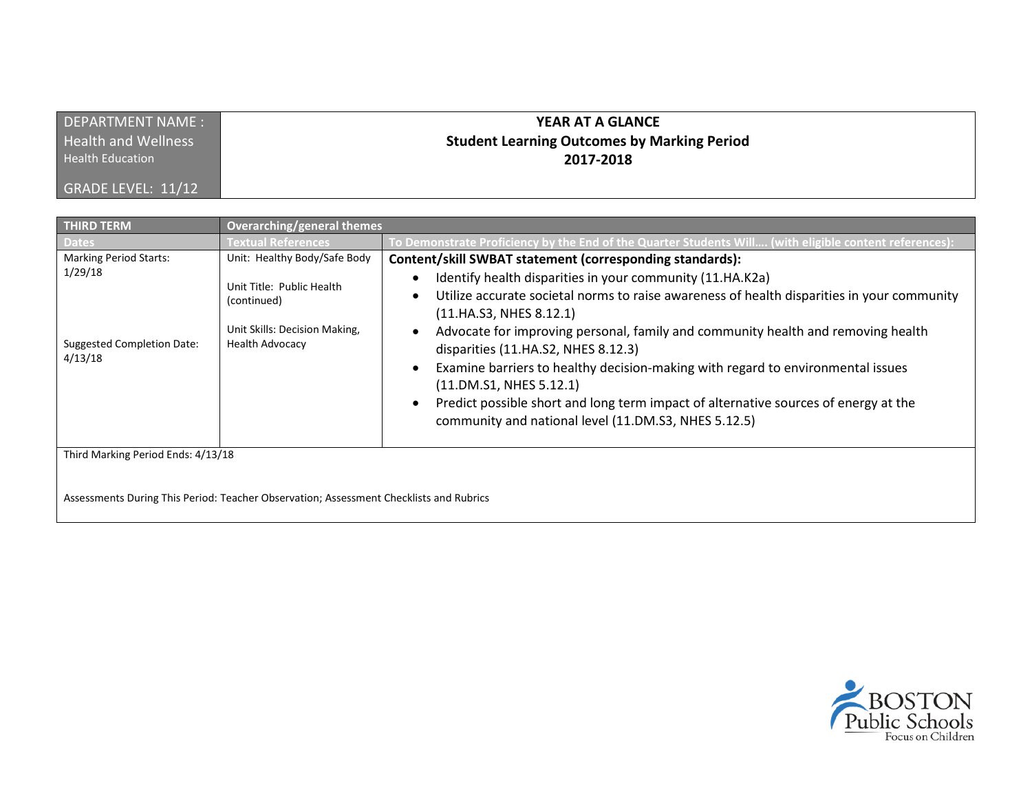| DEPARTMENT NAME :          | YEAR AT A GLANCE                                   |
|----------------------------|----------------------------------------------------|
| <b>Health and Wellness</b> | <b>Student Learning Outcomes by Marking Period</b> |
| <b>Health Education</b>    | 2017-2018                                          |
| GRADE LEVEL: 11/12         |                                                    |

| <b>THIRD TERM</b>                                                                        | <b>Overarching/general themes</b>                                                                                                   |                                                                                                                                                                                                                                                                                                                                                                                                                                                                                                                                                                                                                                        |
|------------------------------------------------------------------------------------------|-------------------------------------------------------------------------------------------------------------------------------------|----------------------------------------------------------------------------------------------------------------------------------------------------------------------------------------------------------------------------------------------------------------------------------------------------------------------------------------------------------------------------------------------------------------------------------------------------------------------------------------------------------------------------------------------------------------------------------------------------------------------------------------|
| <b>Dates</b>                                                                             | Textual References                                                                                                                  | To Demonstrate Proficiency by the End of the Quarter Students Will (with eligible content references):                                                                                                                                                                                                                                                                                                                                                                                                                                                                                                                                 |
| <b>Marking Period Starts:</b><br>1/29/18<br><b>Suggested Completion Date:</b><br>4/13/18 | Unit: Healthy Body/Safe Body<br>Unit Title: Public Health<br>(continued)<br>Unit Skills: Decision Making,<br><b>Health Advocacy</b> | Content/skill SWBAT statement (corresponding standards):<br>Identify health disparities in your community (11.HA.K2a)<br>Utilize accurate societal norms to raise awareness of health disparities in your community<br>(11.HA.S3, NHES 8.12.1)<br>Advocate for improving personal, family and community health and removing health<br>disparities (11.HA.S2, NHES 8.12.3)<br>Examine barriers to healthy decision-making with regard to environmental issues<br>(11.DM.S1, NHES 5.12.1)<br>Predict possible short and long term impact of alternative sources of energy at the<br>community and national level (11.DM.S3, NHES 5.12.5) |
| Third Marking Period Ends: 4/13/18                                                       |                                                                                                                                     |                                                                                                                                                                                                                                                                                                                                                                                                                                                                                                                                                                                                                                        |

Assessments During This Period: Teacher Observation; Assessment Checklists and Rubrics